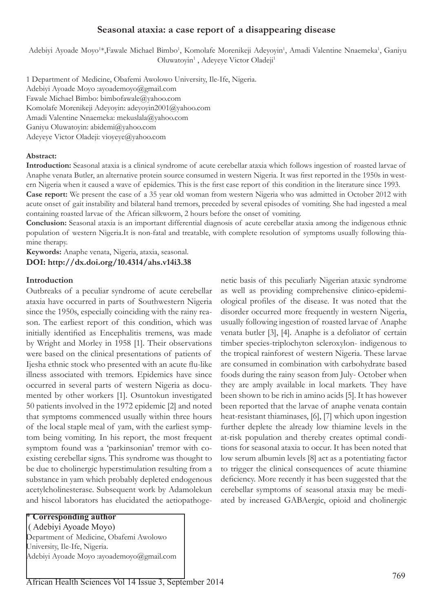# **Seasonal ataxia: a case report of a disappearing disease**

Adebiyi Ayoade Moyo<sup>1\*</sup>,Fawale Michael Bimbo<sup>1</sup>, Komolafe Morenikeji Adeyoyin<sup>1</sup>, Amadi Valentine Nnaemeka<sup>1</sup>, Ganiyu Oluwatoyin<sup>1</sup>, Adeyeye Victor Oladeji<sup>1</sup>

1 Department of Medicine, Obafemi Awolowo University, Ile-Ife, Nigeria. Adebiyi Ayoade Moyo :ayoademoyo@gmail.com Fawale Michael Bimbo: bimbofawale@yahoo.com Komolafe Morenikeji Adeyoyin: adeyoyin2001@yahoo.com Amadi Valentine Nnaemeka: mekuslala@yahoo.com Ganiyu Oluwatoyin: abidemi@yahoo.com Adeyeye Victor Oladeji: vioyeye@yahoo.com

### **Abstract:**

**Introduction:** Seasonal ataxia is a clinical syndrome of acute cerebellar ataxia which follows ingestion of roasted larvae of Anaphe venata Butler, an alternative protein source consumed in western Nigeria. It was first reported in the 1950s in western Nigeria when it caused a wave of epidemics. This is the first case report of this condition in the literature since 1993. **Case report:** We present the case of a 35 year old woman from western Nigeria who was admitted in October 2012 with

acute onset of gait instability and bilateral hand tremors, preceded by several episodes of vomiting. She had ingested a meal containing roasted larvae of the African silkworm, 2 hours before the onset of vomiting.

**Conclusion:** Seasonal ataxia is an important differential diagnosis of acute cerebellar ataxia among the indigenous ethnic population of western Nigeria.It is non-fatal and treatable, with complete resolution of symptoms usually following thiamine therapy.

**Keywords:** Anaphe venata, Nigeria, ataxia, seasonal. **DOI: http://dx.doi.org/10.4314/ahs.v14i3.38**

# **Introduction**

Outbreaks of a peculiar syndrome of acute cerebellar ataxia have occurred in parts of Southwestern Nigeria since the 1950s, especially coinciding with the rainy reason. The earliest report of this condition, which was initially identified as Encephalitis tremens, was made by Wright and Morley in 1958 [1]. Their observations were based on the clinical presentations of patients of Ijesha ethnic stock who presented with an acute flu-like illness associated with tremors. Epidemics have since occurred in several parts of western Nigeria as documented by other workers [1]. Osuntokun investigated 50 patients involved in the 1972 epidemic [2] and noted that symptoms commenced usually within three hours of the local staple meal of yam, with the earliest symptom being vomiting. In his report, the most frequent symptom found was a 'parkinsonian' tremor with coexisting cerebellar signs. This syndrome was thought to be due to cholinergic hyperstimulation resulting from a substance in yam which probably depleted endogenous acetylcholinesterase. Subsequent work by Adamolekun and hiscol laborators has elucidated the aetiopathogenetic basis of this peculiarly Nigerian ataxic syndrome as well as providing comprehensive clinico-epidemiological profiles of the disease. It was noted that the disorder occurred more frequently in western Nigeria, usually following ingestion of roasted larvae of Anaphe venata butler [3], [4]. Anaphe is a defoliator of certain timber species-triplochyton scleroxylon- indigenous to the tropical rainforest of western Nigeria. These larvae are consumed in combination with carbohydrate based foods during the rainy season from July- October when they are amply available in local markets. They have been shown to be rich in amino acids [5]. It has however been reported that the larvae of anaphe venata contain heat-resistant thiaminases, [6], [7] which upon ingestion further deplete the already low thiamine levels in the at-risk population and thereby creates optimal conditions for seasonal ataxia to occur. It has been noted that low serum albumin levels [8] act as a potentiating factor to trigger the clinical consequences of acute thiamine deficiency. More recently it has been suggested that the cerebellar symptoms of seasonal ataxia may be mediated by increased GABAergic, opioid and cholinergic

\* **Corresponding author** ( Adebiyi Ayoade Moyo) Department of Medicine, Obafemi Awolowo University, Ile-Ife, Nigeria. Adebiyi Ayoade Moyo :ayoademoyo@gmail.com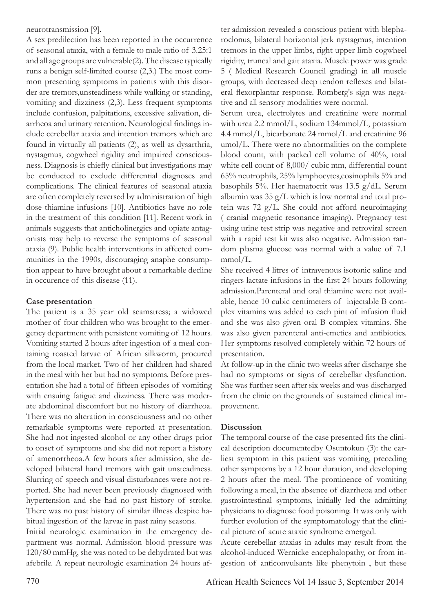neurotransmission [9].

A sex predilection has been reported in the occurrence of seasonal ataxia, with a female to male ratio of 3.25:1 and all age groups are vulnerable(2). The disease typically runs a benign self-limited course (2,3.) The most common presenting symptoms in patients with this disorder are tremors,unsteadiness while walking or standing, vomiting and dizziness (2,3). Less frequent symptoms include confusion, palpitations, excessive salivation, diarrheoa and urinary retention. Neurological findings include cerebellar ataxia and intention tremors which are found in virtually all patients (2), as well as dysarthria, nystagmus, cogwheel rigidity and impaired consciousness. Diagnosis is chiefly clinical but investigations may be conducted to exclude differential diagnoses and complications. The clinical features of seasonal ataxia are often completely reversed by administration of high dose thiamine infusions [10]. Antibiotics have no role in the treatment of this condition [11]. Recent work in animals suggests that anticholinergics and opiate antagonists may help to reverse the symptoms of seasonal ataxia (9). Public health interventions in affected communities in the 1990s, discouraging anaphe consumption appear to have brought about a remarkable decline in occurence of this disease (11).

# **Case presentation**

The patient is a 35 year old seamstress; a widowed mother of four children who was brought to the emergency department with persistent vomiting of 12 hours. Vomiting started 2 hours after ingestion of a meal containing roasted larvae of African silkworm, procured from the local market. Two of her children had shared in the meal with her but had no symptoms. Before presentation she had a total of fifteen episodes of vomiting with ensuing fatigue and dizziness. There was moderate abdominal discomfort but no history of diarrheoa. There was no alteration in consciousness and no other remarkable symptoms were reported at presentation. She had not ingested alcohol or any other drugs prior to onset of symptoms and she did not report a history of amenorrheoa.A few hours after admission, she developed bilateral hand tremors with gait unsteadiness. Slurring of speech and visual disturbances were not reported. She had never been previously diagnosed with hypertension and she had no past history of stroke. There was no past history of similar illness despite habitual ingestion of the larvae in past rainy seasons.

Initial neurologic examination in the emergency department was normal. Admission blood pressure was 120/80 mmHg, she was noted to be dehydrated but was afebrile. A repeat neurologic examination 24 hours after admission revealed a conscious patient with blepharoclonus, bilateral horizontal jerk nystagmus, intention tremors in the upper limbs, right upper limb cogwheel rigidity, truncal and gait ataxia. Muscle power was grade 5 ( Medical Research Council grading) in all muscle groups, with decreased deep tendon reflexes and bilateral flexorplantar response. Romberg's sign was negative and all sensory modalities were normal.

Serum urea, electrolytes and creatinine were normal with urea 2.2 mmol/L, sodium 134mmol/L, potassium 4.4 mmol/L, bicarbonate 24 mmol/L and creatinine 96 umol/L. There were no abnormalities on the complete blood count, with packed cell volume of 40%, total white cell count of 8,000/ cubic mm, differential count 65% neutrophils, 25% lymphocytes,eosinophils 5% and basophils 5%. Her haematocrit was 13.5 g/dL. Serum albumin was  $35 g/L$  which is low normal and total protein was 72 g/L. She could not afford neuroimaging ( cranial magnetic resonance imaging). Pregnancy test using urine test strip was negative and retroviral screen with a rapid test kit was also negative. Admission random plasma glucose was normal with a value of 7.1 mmol/L.

She received 4 litres of intravenous isotonic saline and ringers lactate infusions in the first 24 hours following admission.Parenteral and oral thiamine were not available, hence 10 cubic centimeters of injectable B complex vitamins was added to each pint of infusion fluid and she was also given oral B complex vitamins. She was also given parenteral anti-emetics and antibiotics. Her symptoms resolved completely within 72 hours of presentation.

At follow-up in the clinic two weeks after discharge she had no symptoms or signs of cerebellar dysfunction. She was further seen after six weeks and was discharged from the clinic on the grounds of sustained clinical improvement.

# **Discussion**

The temporal course of the case presented fits the clinical description documentedby Osuntokun (3): the earliest symptom in this patient was vomiting, preceding other symptoms by a 12 hour duration, and developing 2 hours after the meal. The prominence of vomiting following a meal, in the absence of diarrheoa and other gastrointestinal symptoms, initially led the admitting physicians to diagnose food poisoning. It was only with further evolution of the symptomatology that the clinical picture of acute ataxic syndrome emerged.

Acute cerebellar ataxias in adults may result from the alcohol-induced Wernicke encephalopathy, or from ingestion of anticonvulsants like phenytoin , but these